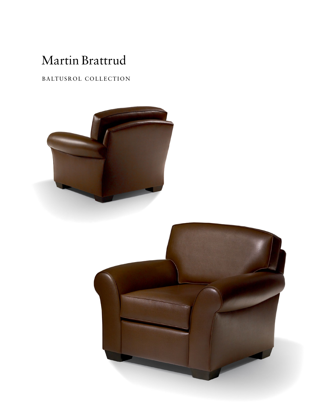# Martin Brattrud

## BALTUSROL COLLECTION